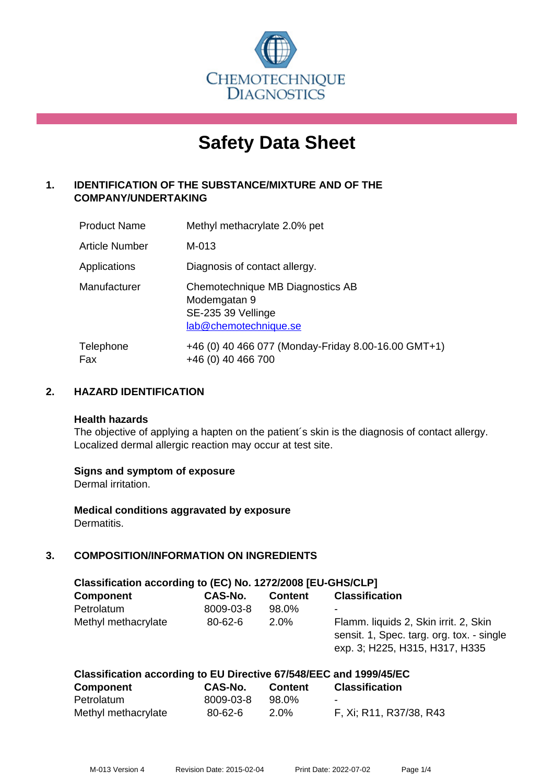

# **Safety Data Sheet**

# **1. IDENTIFICATION OF THE SUBSTANCE/MIXTURE AND OF THE COMPANY/UNDERTAKING**

| <b>Product Name</b>   | Methyl methacrylate 2.0% pet                                                                    |
|-----------------------|-------------------------------------------------------------------------------------------------|
| <b>Article Number</b> | M-013                                                                                           |
| Applications          | Diagnosis of contact allergy.                                                                   |
| Manufacturer          | Chemotechnique MB Diagnostics AB<br>Modemgatan 9<br>SE-235 39 Vellinge<br>lab@chemotechnique.se |
| Telephone<br>Fax      | +46 (0) 40 466 077 (Monday-Friday 8.00-16.00 GMT+1)<br>+46 (0) 40 466 700                       |

## **2. HAZARD IDENTIFICATION**

#### **Health hazards**

The objective of applying a hapten on the patient's skin is the diagnosis of contact allergy. Localized dermal allergic reaction may occur at test site.

#### **Signs and symptom of exposure**

Dermal irritation.

**Medical conditions aggravated by exposure** Dermatitis.

# **3. COMPOSITION/INFORMATION ON INGREDIENTS**

| Classification according to (EC) No. 1272/2008 [EU-GHS/CLP] |               |                |                                                                                                                      |  |  |
|-------------------------------------------------------------|---------------|----------------|----------------------------------------------------------------------------------------------------------------------|--|--|
| <b>Component</b>                                            | CAS-No.       | <b>Content</b> | <b>Classification</b>                                                                                                |  |  |
| Petrolatum                                                  | 8009-03-8     | 98.0%          | ۰                                                                                                                    |  |  |
| Methyl methacrylate                                         | $80 - 62 - 6$ | 2.0%           | Flamm. liquids 2, Skin irrit. 2, Skin<br>sensit. 1, Spec. targ. org. tox. - single<br>exp. 3; H225, H315, H317, H335 |  |  |

| Classification according to EU Directive 67/548/EEC and 1999/45/EC |               |                |                         |  |  |
|--------------------------------------------------------------------|---------------|----------------|-------------------------|--|--|
| <b>Component</b>                                                   | CAS-No.       | <b>Content</b> | <b>Classification</b>   |  |  |
| Petrolatum                                                         | 8009-03-8     | 98.0%          |                         |  |  |
| Methyl methacrylate                                                | $80 - 62 - 6$ | $2.0\%$        | F, Xi; R11, R37/38, R43 |  |  |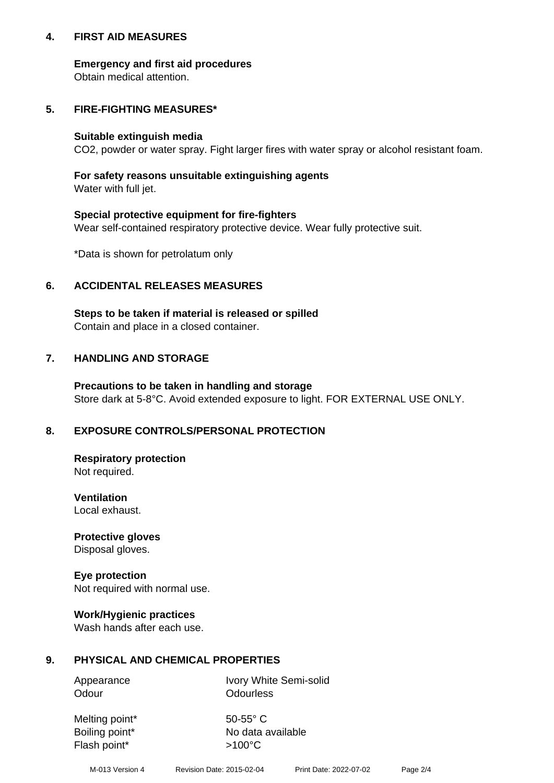## **4. FIRST AID MEASURES**

## **Emergency and first aid procedures**

Obtain medical attention.

# **5. FIRE-FIGHTING MEASURES\***

#### **Suitable extinguish media**

CO2, powder or water spray. Fight larger fires with water spray or alcohol resistant foam.

# **For safety reasons unsuitable extinguishing agents**

Water with full jet.

## **Special protective equipment for fire-fighters**

Wear self-contained respiratory protective device. Wear fully protective suit.

\*Data is shown for petrolatum only

## **6. ACCIDENTAL RELEASES MEASURES**

**Steps to be taken if material is released or spilled** Contain and place in a closed container.

# **7. HANDLING AND STORAGE**

**Precautions to be taken in handling and storage** Store dark at 5-8°C. Avoid extended exposure to light. FOR EXTERNAL USE ONLY.

# **8. EXPOSURE CONTROLS/PERSONAL PROTECTION**

**Respiratory protection** Not required.

**Ventilation** Local exhaust.

**Protective gloves** Disposal gloves.

#### **Eye protection** Not required with normal use.

## **Work/Hygienic practices**

Wash hands after each use.

## **9. PHYSICAL AND CHEMICAL PROPERTIES**

Odour **Odourless** 

Appearance Ivory White Semi-solid

Melting point\* 50-55° C Flash point\*  $>100^{\circ}$ C

Boiling point\* No data available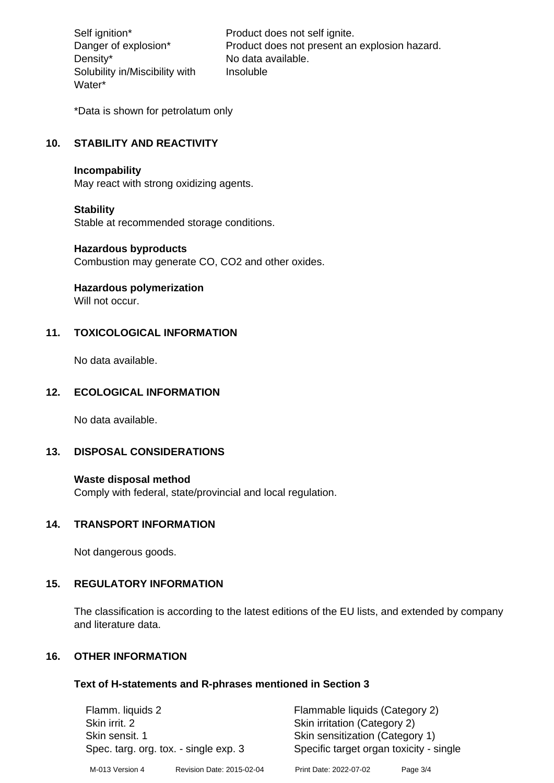Density\* No data available. Solubility in/Miscibility with Water\*

Self ignition\* Product does not self ignite. Danger of explosion\* Product does not present an explosion hazard. Insoluble

\*Data is shown for petrolatum only

# **10. STABILITY AND REACTIVITY**

#### **Incompability**

May react with strong oxidizing agents.

#### **Stability**

Stable at recommended storage conditions.

#### **Hazardous byproducts**

Combustion may generate CO, CO2 and other oxides.

**Hazardous polymerization**

Will not occur.

## **11. TOXICOLOGICAL INFORMATION**

No data available.

## **12. ECOLOGICAL INFORMATION**

No data available.

## **13. DISPOSAL CONSIDERATIONS**

#### **Waste disposal method**

Comply with federal, state/provincial and local regulation.

#### **14. TRANSPORT INFORMATION**

Not dangerous goods.

## **15. REGULATORY INFORMATION**

The classification is according to the latest editions of the EU lists, and extended by company and literature data.

#### **16. OTHER INFORMATION**

#### **Text of H-statements and R-phrases mentioned in Section 3**

| Flamm. liquids 2                                        |                           | Flammable liquids (Category 2)                                             |          |  |
|---------------------------------------------------------|---------------------------|----------------------------------------------------------------------------|----------|--|
| Skin irrit. 2                                           |                           | Skin irritation (Category 2)                                               |          |  |
| Skin sensit. 1<br>Spec. targ. org. tox. - single exp. 3 |                           | Skin sensitization (Category 1)<br>Specific target organ toxicity - single |          |  |
| M-013 Version 4                                         | Revision Date: 2015-02-04 | Print Date: 2022-07-02                                                     | Page 3/4 |  |